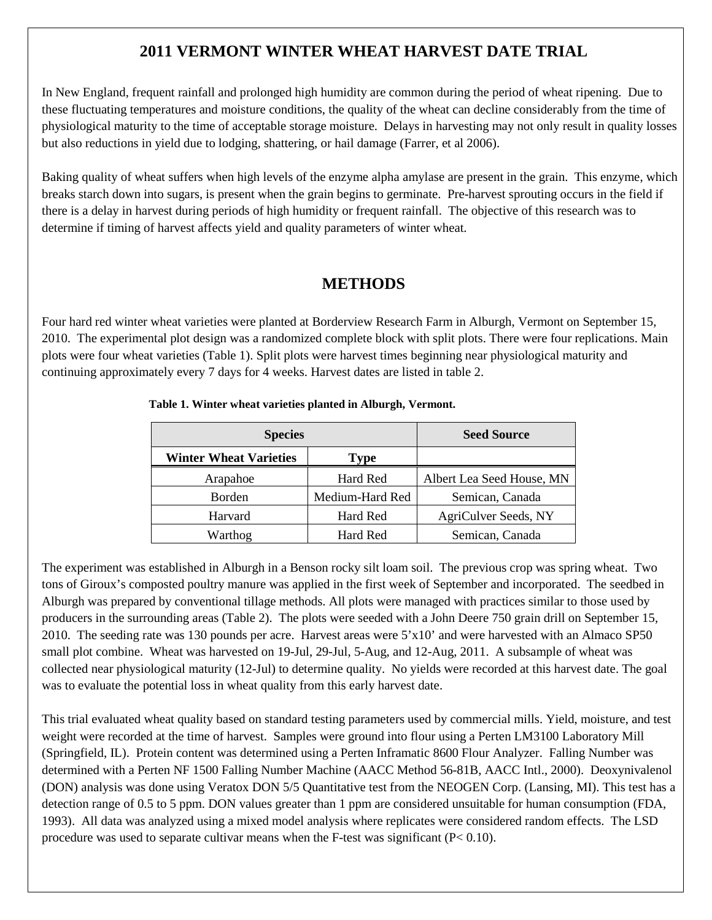# **2011 VERMONT WINTER WHEAT HARVEST DATE TRIAL**

In New England, frequent rainfall and prolonged high humidity are common during the period of wheat ripening. Due to these fluctuating temperatures and moisture conditions, the quality of the wheat can decline considerably from the time of physiological maturity to the time of acceptable storage moisture. Delays in harvesting may not only result in quality losses but also reductions in yield due to lodging, shattering, or hail damage (Farrer, et al 2006).

Baking quality of wheat suffers when high levels of the enzyme alpha amylase are present in the grain. This enzyme, which breaks starch down into sugars, is present when the grain begins to germinate. Pre-harvest sprouting occurs in the field if there is a delay in harvest during periods of high humidity or frequent rainfall. The objective of this research was to determine if timing of harvest affects yield and quality parameters of winter wheat.

# **METHODS**

Four hard red winter wheat varieties were planted at Borderview Research Farm in Alburgh, Vermont on September 15, 2010. The experimental plot design was a randomized complete block with split plots. There were four replications. Main plots were four wheat varieties (Table 1). Split plots were harvest times beginning near physiological maturity and continuing approximately every 7 days for 4 weeks. Harvest dates are listed in table 2.

| <b>Species</b>                | <b>Seed Source</b> |                           |
|-------------------------------|--------------------|---------------------------|
| <b>Winter Wheat Varieties</b> | Type               |                           |
| Arapahoe                      | Hard Red           | Albert Lea Seed House, MN |
| <b>Borden</b>                 | Medium-Hard Red    | Semican, Canada           |
| Harvard                       | Hard Red           | AgriCulver Seeds, NY      |
| Warthog                       | Hard Red           | Semican, Canada           |

## **Table 1. Winter wheat varieties planted in Alburgh, Vermont.**

The experiment was established in Alburgh in a Benson rocky silt loam soil. The previous crop was spring wheat. Two tons of Giroux's composted poultry manure was applied in the first week of September and incorporated. The seedbed in Alburgh was prepared by conventional tillage methods. All plots were managed with practices similar to those used by producers in the surrounding areas (Table 2). The plots were seeded with a John Deere 750 grain drill on September 15, 2010. The seeding rate was 130 pounds per acre. Harvest areas were 5'x10' and were harvested with an Almaco SP50 small plot combine. Wheat was harvested on 19-Jul, 29-Jul, 5-Aug, and 12-Aug, 2011. A subsample of wheat was collected near physiological maturity (12-Jul) to determine quality. No yields were recorded at this harvest date. The goal was to evaluate the potential loss in wheat quality from this early harvest date.

This trial evaluated wheat quality based on standard testing parameters used by commercial mills. Yield, moisture, and test weight were recorded at the time of harvest. Samples were ground into flour using a Perten LM3100 Laboratory Mill (Springfield, IL). Protein content was determined using a Perten Inframatic 8600 Flour Analyzer. Falling Number was determined with a Perten NF 1500 Falling Number Machine (AACC Method 56-81B, AACC Intl., 2000). Deoxynivalenol (DON) analysis was done using Veratox DON 5/5 Quantitative test from the NEOGEN Corp. (Lansing, MI). This test has a detection range of 0.5 to 5 ppm. DON values greater than 1 ppm are considered unsuitable for human consumption (FDA, 1993). All data was analyzed using a mixed model analysis where replicates were considered random effects. The LSD procedure was used to separate cultivar means when the F-test was significant  $(P< 0.10)$ .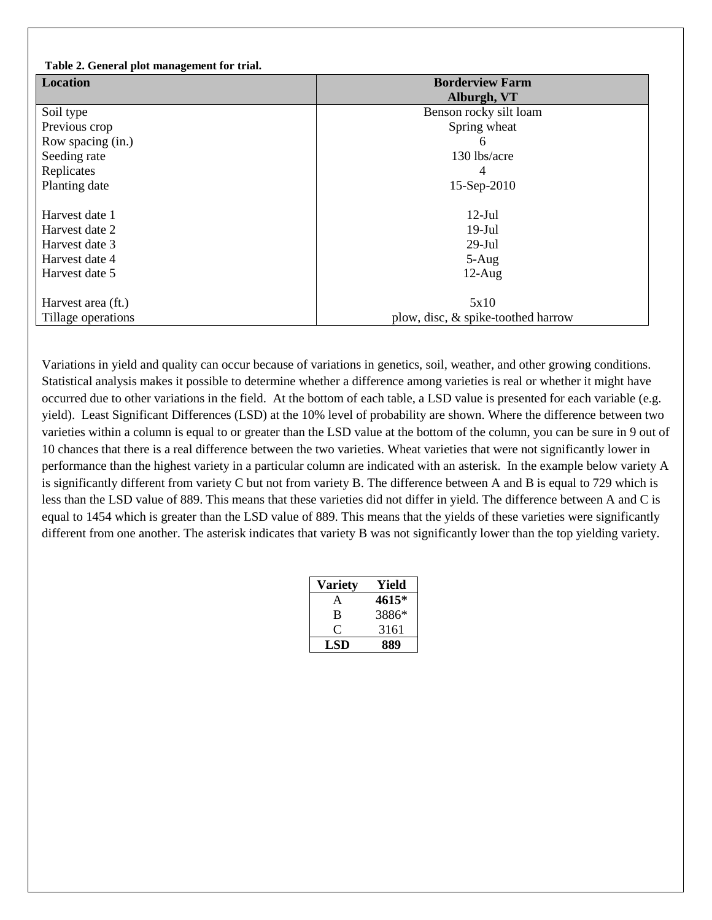| Table 2. General plot management for trial. |                                    |  |  |  |  |
|---------------------------------------------|------------------------------------|--|--|--|--|
| <b>Location</b>                             | <b>Borderview Farm</b>             |  |  |  |  |
|                                             | Alburgh, VT                        |  |  |  |  |
| Soil type                                   | Benson rocky silt loam             |  |  |  |  |
| Previous crop                               | Spring wheat                       |  |  |  |  |
| Row spacing (in.)                           | 6                                  |  |  |  |  |
| Seeding rate                                | 130 lbs/acre                       |  |  |  |  |
| Replicates                                  | 4                                  |  |  |  |  |
| Planting date                               | 15-Sep-2010                        |  |  |  |  |
|                                             |                                    |  |  |  |  |
| Harvest date 1                              | $12$ -Jul                          |  |  |  |  |
| Harvest date 2                              | $19-Jul$                           |  |  |  |  |
| Harvest date 3                              | $29-Jul$                           |  |  |  |  |
| Harvest date 4                              | $5 - Aug$                          |  |  |  |  |
| Harvest date 5                              | $12$ -Aug                          |  |  |  |  |
|                                             |                                    |  |  |  |  |
| Harvest area (ft.)                          | 5x10                               |  |  |  |  |
| Tillage operations                          | plow, disc, & spike-toothed harrow |  |  |  |  |

Variations in yield and quality can occur because of variations in genetics, soil, weather, and other growing conditions. Statistical analysis makes it possible to determine whether a difference among varieties is real or whether it might have occurred due to other variations in the field. At the bottom of each table, a LSD value is presented for each variable (e.g. yield). Least Significant Differences (LSD) at the 10% level of probability are shown. Where the difference between two varieties within a column is equal to or greater than the LSD value at the bottom of the column, you can be sure in 9 out of 10 chances that there is a real difference between the two varieties. Wheat varieties that were not significantly lower in performance than the highest variety in a particular column are indicated with an asterisk. In the example below variety A is significantly different from variety C but not from variety B. The difference between A and B is equal to 729 which is less than the LSD value of 889. This means that these varieties did not differ in yield. The difference between A and C is equal to 1454 which is greater than the LSD value of 889. This means that the yields of these varieties were significantly different from one another. The asterisk indicates that variety B was not significantly lower than the top yielding variety.

| Variety | Yield |
|---------|-------|
| A       | 4615* |
| B       | 3886* |
|         | 3161  |
| LSD     | 889   |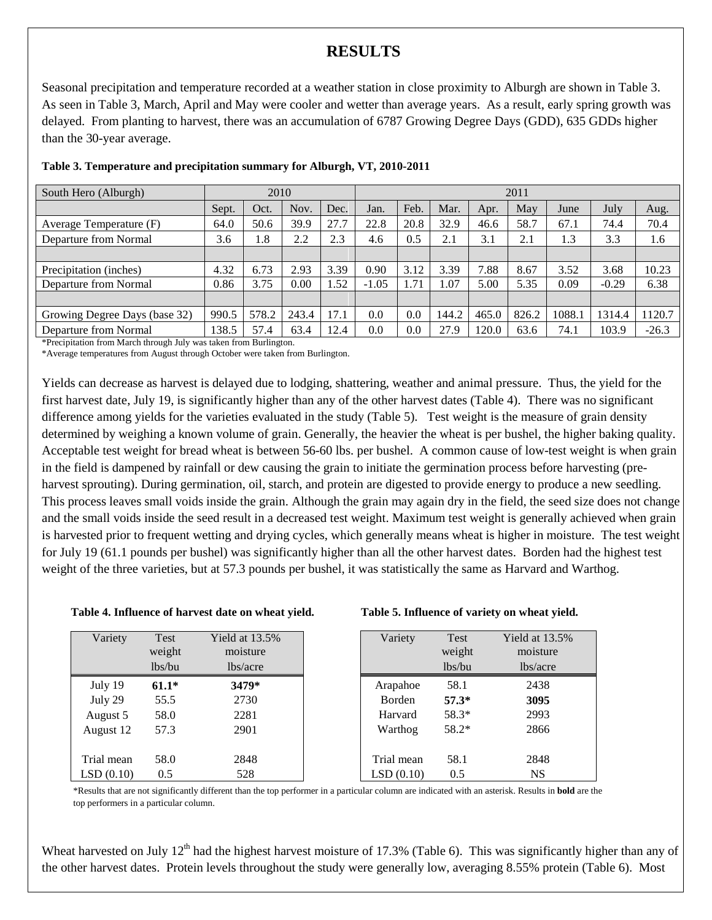## **RESULTS**

Seasonal precipitation and temperature recorded at a weather station in close proximity to Alburgh are shown in Table 3. As seen in Table 3, March, April and May were cooler and wetter than average years. As a result, early spring growth was delayed. From planting to harvest, there was an accumulation of 6787 Growing Degree Days (GDD), 635 GDDs higher than the 30-year average.

| South Hero (Alburgh)          | 2010  |       |       | 2011 |         |      |       |       |       |       |         |         |
|-------------------------------|-------|-------|-------|------|---------|------|-------|-------|-------|-------|---------|---------|
|                               | Sept. | Oct.  | Nov.  | Dec. | Jan.    | Feb. | Mar.  | Apr.  | May   | June  | July    | Aug.    |
| Average Temperature (F)       | 64.0  | 50.6  | 39.9  | 27.7 | 22.8    | 20.8 | 32.9  | 46.6  | 58.7  | 67.1  | 74.4    | 70.4    |
| Departure from Normal         | 3.6   | 1.8   | 2.2   | 2.3  | 4.6     | 0.5  | 2.1   | 3.1   | 2.1   | 1.3   | 3.3     | 1.6     |
|                               |       |       |       |      |         |      |       |       |       |       |         |         |
| Precipitation (inches)        | 4.32  | 6.73  | 2.93  | 3.39 | 0.90    | 3.12 | 3.39  | 7.88  | 8.67  | 3.52  | 3.68    | 10.23   |
| Departure from Normal         | 0.86  | 3.75  | 0.00  | l.52 | $-1.05$ | 1.71 | 07    | 5.00  | 5.35  | 0.09  | $-0.29$ | 6.38    |
|                               |       |       |       |      |         |      |       |       |       |       |         |         |
| Growing Degree Days (base 32) | 990.5 | 578.2 | 243.4 | 17.1 | 0.0     | 0.0  | 144.2 | 465.0 | 826.2 | 1088. | 1314.4  | 120.7   |
| Departure from Normal<br>.    | 138.5 | 57.4  | 63.4  | 12.4 | 0.0     | 0.0  | 27.9  | 120.0 | 63.6  | 74.1  | 103.9   | $-26.3$ |

### **Table 3. Temperature and precipitation summary for Alburgh, VT, 2010-2011**

\*Precipitation from March through July was taken from Burlington.

\*Average temperatures from August through October were taken from Burlington.

Yields can decrease as harvest is delayed due to lodging, shattering, weather and animal pressure. Thus, the yield for the first harvest date, July 19, is significantly higher than any of the other harvest dates (Table 4). There was no significant difference among yields for the varieties evaluated in the study (Table 5). Test weight is the measure of grain density determined by weighing a known volume of grain. Generally, the heavier the wheat is per bushel, the higher baking quality. Acceptable test weight for bread wheat is between 56-60 lbs. per bushel. A common cause of low-test weight is when grain in the field is dampened by rainfall or dew causing the grain to initiate the germination process before harvesting (preharvest sprouting). During germination, oil, starch, and protein are digested to provide energy to produce a new seedling. This process leaves small voids inside the grain. Although the grain may again dry in the field, the seed size does not change and the small voids inside the seed result in a decreased test weight. Maximum test weight is generally achieved when grain is harvested prior to frequent wetting and drying cycles, which generally means wheat is higher in moisture. The test weight for July 19 (61.1 pounds per bushel) was significantly higher than all the other harvest dates. Borden had the highest test weight of the three varieties, but at 57.3 pounds per bushel, it was statistically the same as Harvard and Warthog.

### **Table 4. Influence of harvest date on wheat yield. Table 5. Influence of variety on wheat yield.**

| Variety    | Test    | Yield at $13.5%$ |
|------------|---------|------------------|
|            | weight  | moisture         |
|            | lbs/bu  | lbs/acre         |
| July 19    | $61.1*$ | 3479*            |
| July 29    | 55.5    | 2730             |
| August 5   | 58.0    | 2281             |
| August 12  | 57.3    | 2901             |
|            |         |                  |
| Trial mean | 58.0    | 2848             |
| LSD(0.10)  | 0.5     | 528              |

| Variety       | <b>Test</b> | Yield at 13.5% |
|---------------|-------------|----------------|
|               | weight      | moisture       |
|               | lbs/bu      | lbs/acre       |
| Arapahoe      | 58.1        | 2438           |
| <b>Borden</b> | $57.3*$     | 3095           |
| Harvard       | 58.3*       | 2993           |
| Warthog       | 58.2*       | 2866           |
| Trial mean    | 58.1        | 2848           |
| LSD(0.10)     | 0.5         | NS             |

\*Results that are not significantly different than the top performer in a particular column are indicated with an asterisk. Results in **bold** are the top performers in a particular column.

Wheat harvested on July  $12<sup>th</sup>$  had the highest harvest moisture of 17.3% (Table 6). This was significantly higher than any of the other harvest dates. Protein levels throughout the study were generally low, averaging 8.55% protein (Table 6). Most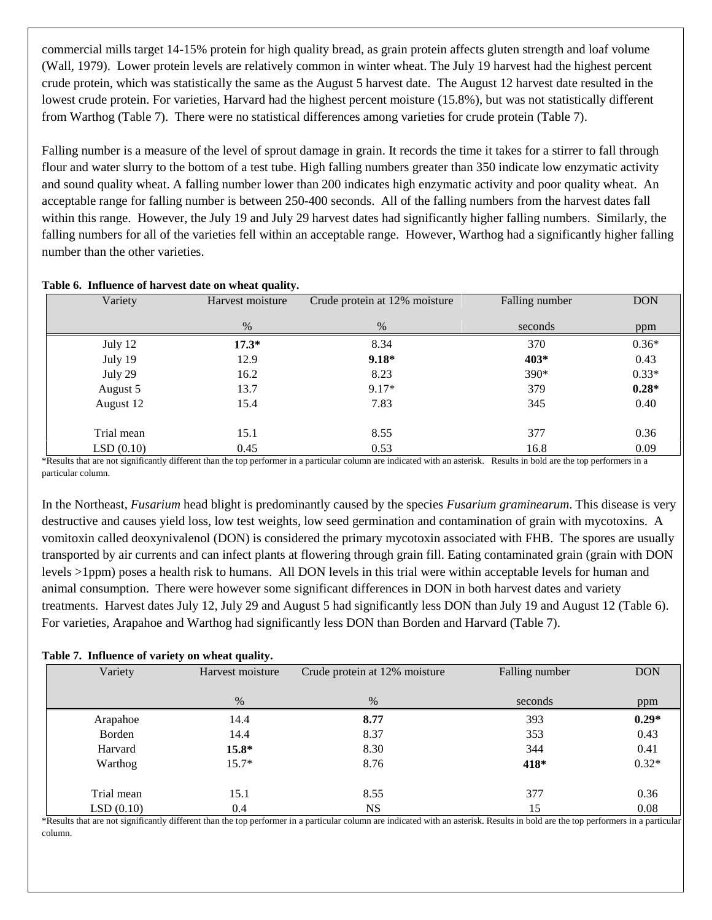commercial mills target 14-15% protein for high quality bread, as grain protein affects gluten strength and loaf volume (Wall, 1979). Lower protein levels are relatively common in winter wheat. The July 19 harvest had the highest percent crude protein, which was statistically the same as the August 5 harvest date. The August 12 harvest date resulted in the lowest crude protein. For varieties, Harvard had the highest percent moisture (15.8%), but was not statistically different from Warthog (Table 7). There were no statistical differences among varieties for crude protein (Table 7).

Falling number is a measure of the level of sprout damage in grain. It records the time it takes for a stirrer to fall through flour and water slurry to the bottom of a test tube. High falling numbers greater than 350 indicate low enzymatic activity and sound quality wheat. A falling number lower than 200 indicates high enzymatic activity and poor quality wheat. An acceptable range for falling number is between 250-400 seconds. All of the falling numbers from the harvest dates fall within this range. However, the July 19 and July 29 harvest dates had significantly higher falling numbers. Similarly, the falling numbers for all of the varieties fell within an acceptable range. However, Warthog had a significantly higher falling number than the other varieties.

| Variety    | Harvest moisture | Crude protein at 12% moisture | Falling number | <b>DON</b> |
|------------|------------------|-------------------------------|----------------|------------|
|            | %                | %                             | seconds        | ppm        |
| July 12    | $17.3*$          | 8.34                          | 370            | $0.36*$    |
| July 19    | 12.9             | $9.18*$                       | 403*           | 0.43       |
| July 29    | 16.2             | 8.23                          | 390*           | $0.33*$    |
| August 5   | 13.7             | $9.17*$                       | 379            | $0.28*$    |
| August 12  | 15.4             | 7.83                          | 345            | 0.40       |
| Trial mean | 15.1             | 8.55                          | 377            | 0.36       |
| LSD(0.10)  | 0.45             | 0.53                          | 16.8           | 0.09       |

### **Table 6. Influence of harvest date on wheat quality.**

\*Results that are not significantly different than the top performer in a particular column are indicated with an asterisk. Results in bold are the top performers in a particular column.

In the Northeast, *Fusarium* head blight is predominantly caused by the species *Fusarium graminearum*. This disease is very destructive and causes yield loss, low test weights, low seed germination and contamination of grain with mycotoxins. A vomitoxin called deoxynivalenol (DON) is considered the primary mycotoxin associated with FHB. The spores are usually transported by air currents and can infect plants at flowering through grain fill. Eating contaminated grain (grain with DON levels >1ppm) poses a health risk to humans. All DON levels in this trial were within acceptable levels for human and animal consumption. There were however some significant differences in DON in both harvest dates and variety treatments. Harvest dates July 12, July 29 and August 5 had significantly less DON than July 19 and August 12 (Table 6). For varieties, Arapahoe and Warthog had significantly less DON than Borden and Harvard (Table 7).

## **Table 7. Influence of variety on wheat quality.**

| Variety    | Harvest moisture | Crude protein at 12% moisture | Falling number | <b>DON</b> |
|------------|------------------|-------------------------------|----------------|------------|
|            |                  |                               |                |            |
|            | $\%$             | $\%$                          | seconds        | ppm        |
| Arapahoe   | 14.4             | 8.77                          | 393            | $0.29*$    |
| Borden     | 14.4             | 8.37                          | 353            | 0.43       |
| Harvard    | $15.8*$          | 8.30                          | 344            | 0.41       |
| Warthog    | $15.7*$          | 8.76                          | 418*           | $0.32*$    |
| Trial mean | 15.1             | 8.55                          | 377            | 0.36       |
| LSD(0.10)  | 0.4              | <b>NS</b>                     | 15             | 0.08       |

\*Results that are not significantly different than the top performer in a particular column are indicated with an asterisk. Results in bold are the top performers in a particular column.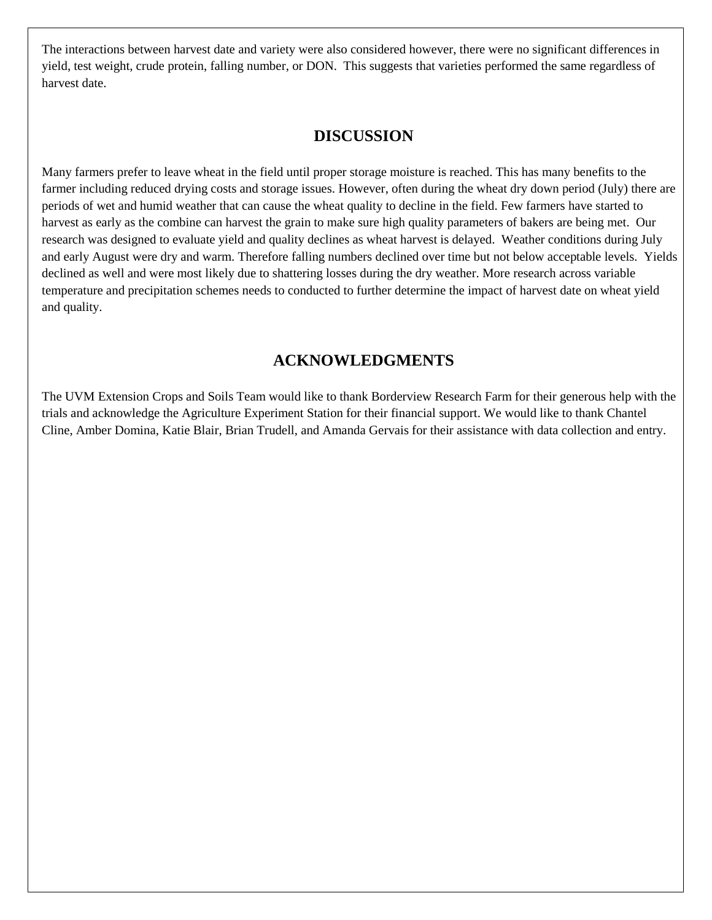The interactions between harvest date and variety were also considered however, there were no significant differences in yield, test weight, crude protein, falling number, or DON. This suggests that varieties performed the same regardless of harvest date.

## **DISCUSSION**

Many farmers prefer to leave wheat in the field until proper storage moisture is reached. This has many benefits to the farmer including reduced drying costs and storage issues. However, often during the wheat dry down period (July) there are periods of wet and humid weather that can cause the wheat quality to decline in the field. Few farmers have started to harvest as early as the combine can harvest the grain to make sure high quality parameters of bakers are being met. Our research was designed to evaluate yield and quality declines as wheat harvest is delayed. Weather conditions during July and early August were dry and warm. Therefore falling numbers declined over time but not below acceptable levels. Yields declined as well and were most likely due to shattering losses during the dry weather. More research across variable temperature and precipitation schemes needs to conducted to further determine the impact of harvest date on wheat yield and quality.

# **ACKNOWLEDGMENTS**

The UVM Extension Crops and Soils Team would like to thank Borderview Research Farm for their generous help with the trials and acknowledge the Agriculture Experiment Station for their financial support. We would like to thank Chantel Cline, Amber Domina, Katie Blair, Brian Trudell, and Amanda Gervais for their assistance with data collection and entry.